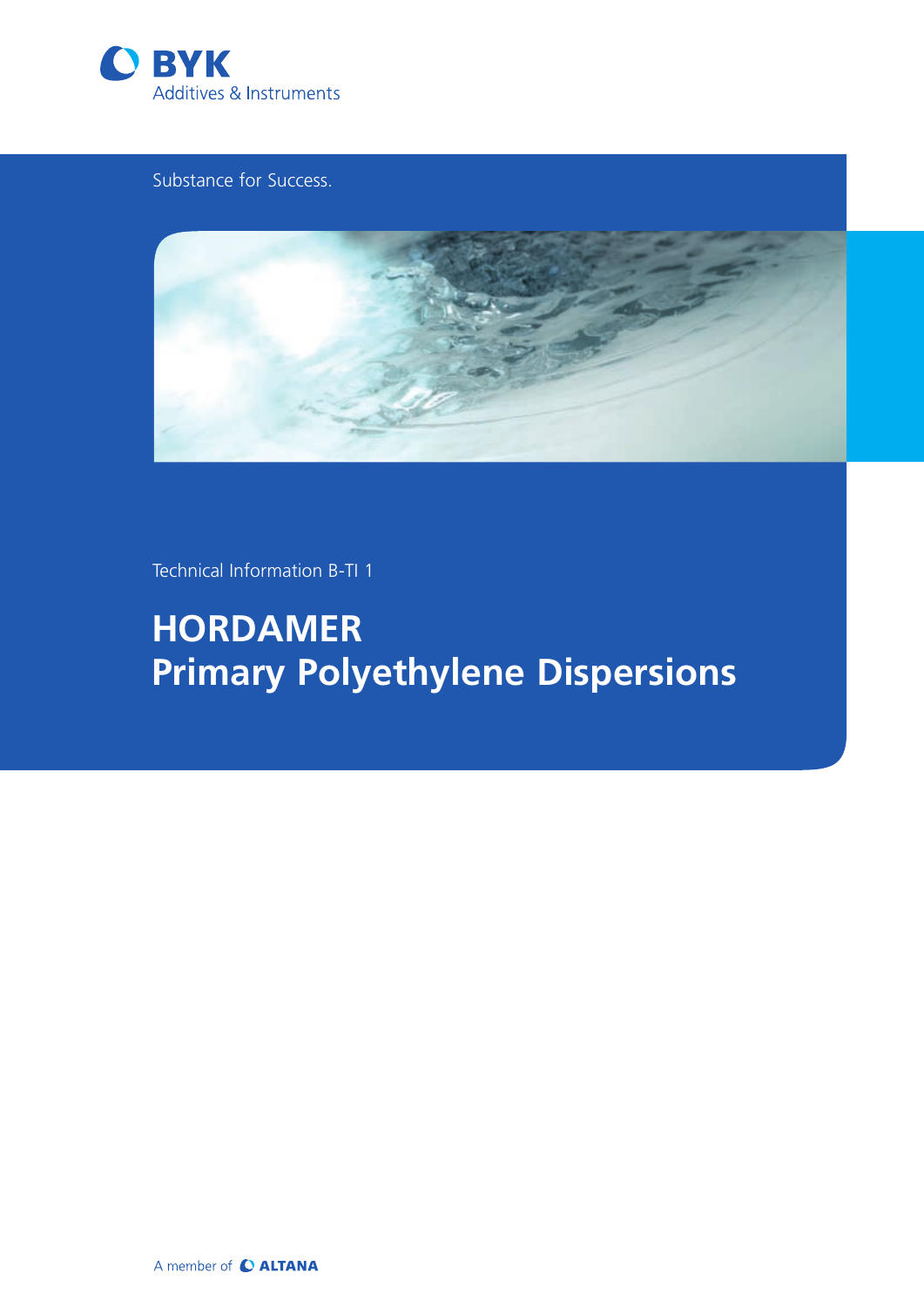

Substance for Success.



Technical Information B-TI 1

**HORDAMER Primary Polyethylene Dispersions**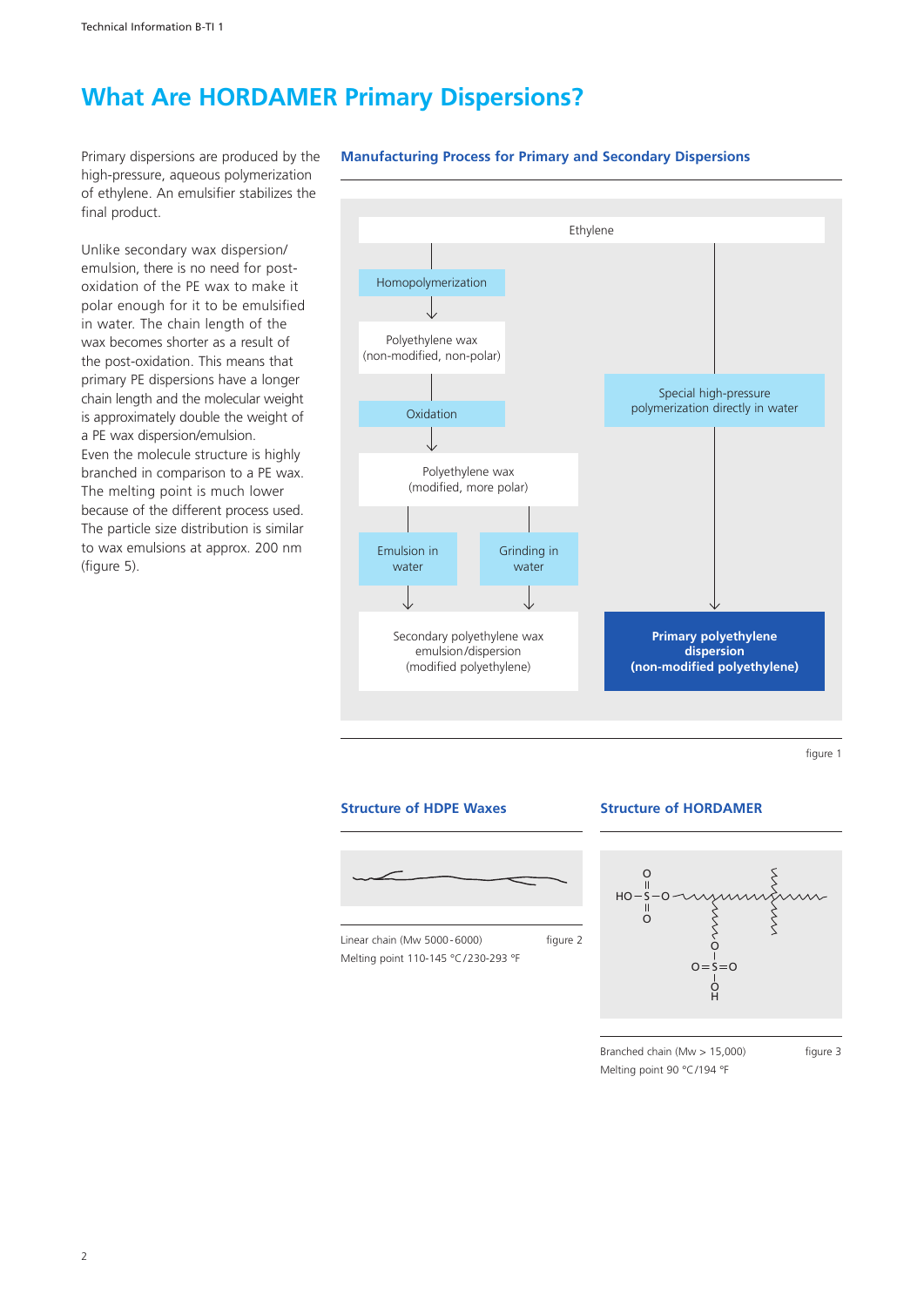# **What Are HORDAMER Primary Dispersions?**

Primary dispersions are produced by the high-pressure, aqueous polymerization of ethylene. An emulsifier stabilizes the final product.

Unlike secondary wax dispersion/ emulsion, there is no need for postoxidation of the PE wax to make it polar enough for it to be emulsified in water. The chain length of the wax becomes shorter as a result of the post-oxidation. This means that primary PE dispersions have a longer chain length and the molecular weight is approximately double the weight of a PE wax dispersion/emulsion. Even the molecule structure is highly branched in comparison to a PE wax. The melting point is much lower because of the different process used. The particle size distribution is similar to wax emulsions at approx. 200 nm (figure 5).

### **Manufacturing Process for Primary and Secondary Dispersions**



figure 1

### **Structure of HDPE Waxes**



### **Structure of HORDAMER**



Branched chain (Mw  $> 15,000$ ) figure 3 Melting point 90 °C/194 °F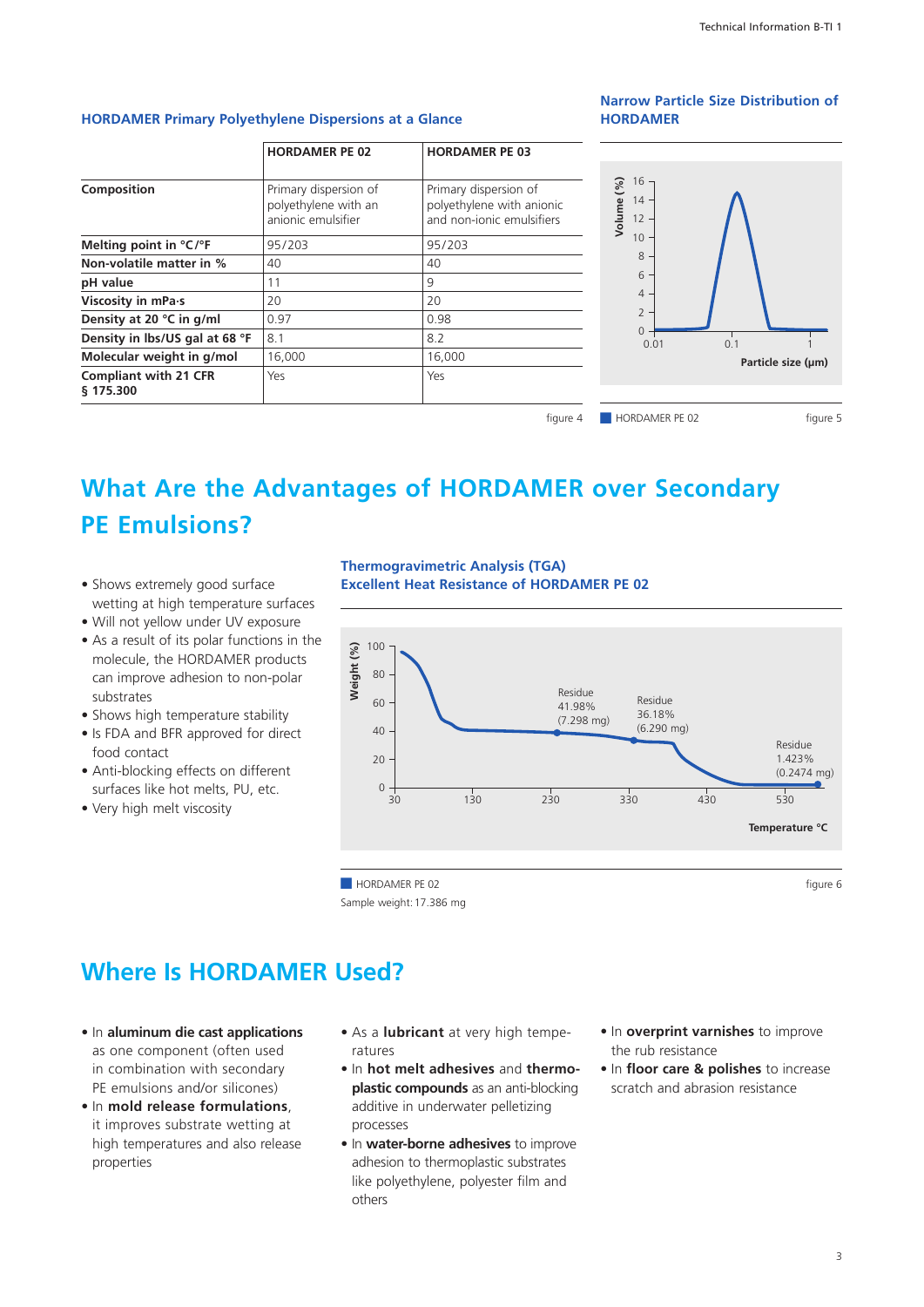### **HORDAMER Primary Polyethylene Dispersions at a Glance**

### **HORDAMER PE 02 HORDAMER PE 03 Composition** Primary dispersion of polyethylene with an anionic emulsifier Primary dispersion of polyethylene with anionic and non-ionic emulsifiers **Melting point in °C/°F** 95/203 95/203 **Non-volatile matter in %** 40 40 40 **pH value** 11 9 **Viscosity in mPa·s** 20 20 20 **Density at 20 °C in g/ml** 0.97 0.98 **Density in lbs/US gal at 68 °F** 8.1 8.2 **Molecular weight in g/mol** 16,000 16,000 **Compliant with 21 CFR § 175.300** Yes Yes figure 4

### **Narrow Particle Size Distribution of HORDAMER**



# **What Are the Advantages of HORDAMER over Secondary PE Emulsions?**

- Shows extremely good surface wetting at high temperature surfaces
- Will not yellow under UV exposure
- As a result of its polar functions in the molecule, the HORDAMER products can improve adhesion to non-polar substrates
- Shows high temperature stability
- Is FDA and BFR approved for direct food contact
- Anti-blocking effects on different surfaces like hot melts, PU, etc.
- • Very high melt viscosity

**Thermogravimetric Analysis (TGA) Excellent Heat Resistance of HORDAMER PE 02**



Sample weight:17.386 mg

### **Where Is HORDAMER Used?**

- • In **aluminum die cast applications** as one component (often used in combination with secondary PE emulsions and/or silicones)
- • In **mold release formulations**, it improves substrate wetting at high temperatures and also release properties
- As a **lubricant** at very high temperatures
- • In **hot melt adhesives** and **thermoplastic compounds** as an anti-blocking additive in underwater pelletizing processes
- • In **water-borne adhesives** to improve adhesion to thermoplastic substrates like polyethylene, polyester film and others
- • In **overprint varnishes** to improve the rub resistance
- • In **floor care & polishes** to increase scratch and abrasion resistance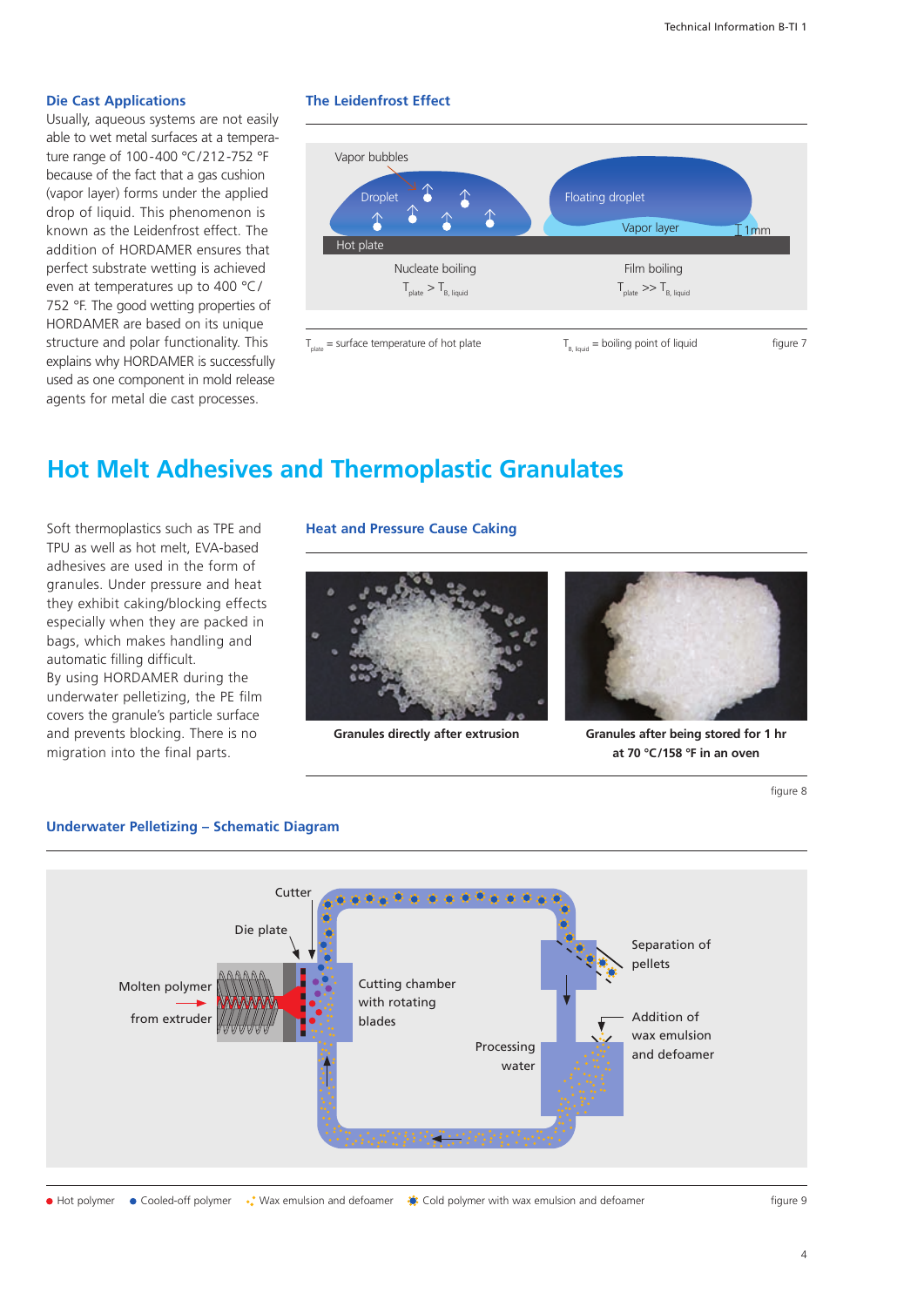### **Die Cast Applications**

Usually, aqueous systems are not easily able to wet metal surfaces at a temperature range of 100-400 °C/212-752 °F because of the fact that a gas cushion (vapor layer) forms under the applied drop of liquid. This phenomenon is known as the Leidenfrost effect. The addition of HORDAMER ensures that perfect substrate wetting is achieved even at temperatures up to 400  $^{\circ}$ C/ 752 °F. The good wetting properties of HORDAMER are based on its unique structure and polar functionality. This explains why HORDAMER is successfully used as one component in mold release agents for metal die cast processes.

### **The Leidenfrost Effect**



### **Hot Melt Adhesives and Thermoplastic Granulates**

Soft thermoplastics such as TPE and TPU as well as hot melt, EVA-based adhesives are used in the form of granules. Under pressure and heat they exhibit caking/blocking effects especially when they are packed in bags, which makes handling and automatic filling difficult. By using HORDAMER during the underwater pelletizing, the PE film

covers the granule's particle surface and prevents blocking. There is no migration into the final parts.

### **Heat and Pressure Cause Caking**





**Granules directly after extrusion Granules after being stored for 1 hr at 70 °C /158 °F in an oven**

figure 8



### **Underwater Pelletizing – Schematic Diagram**

 $\overline{4}$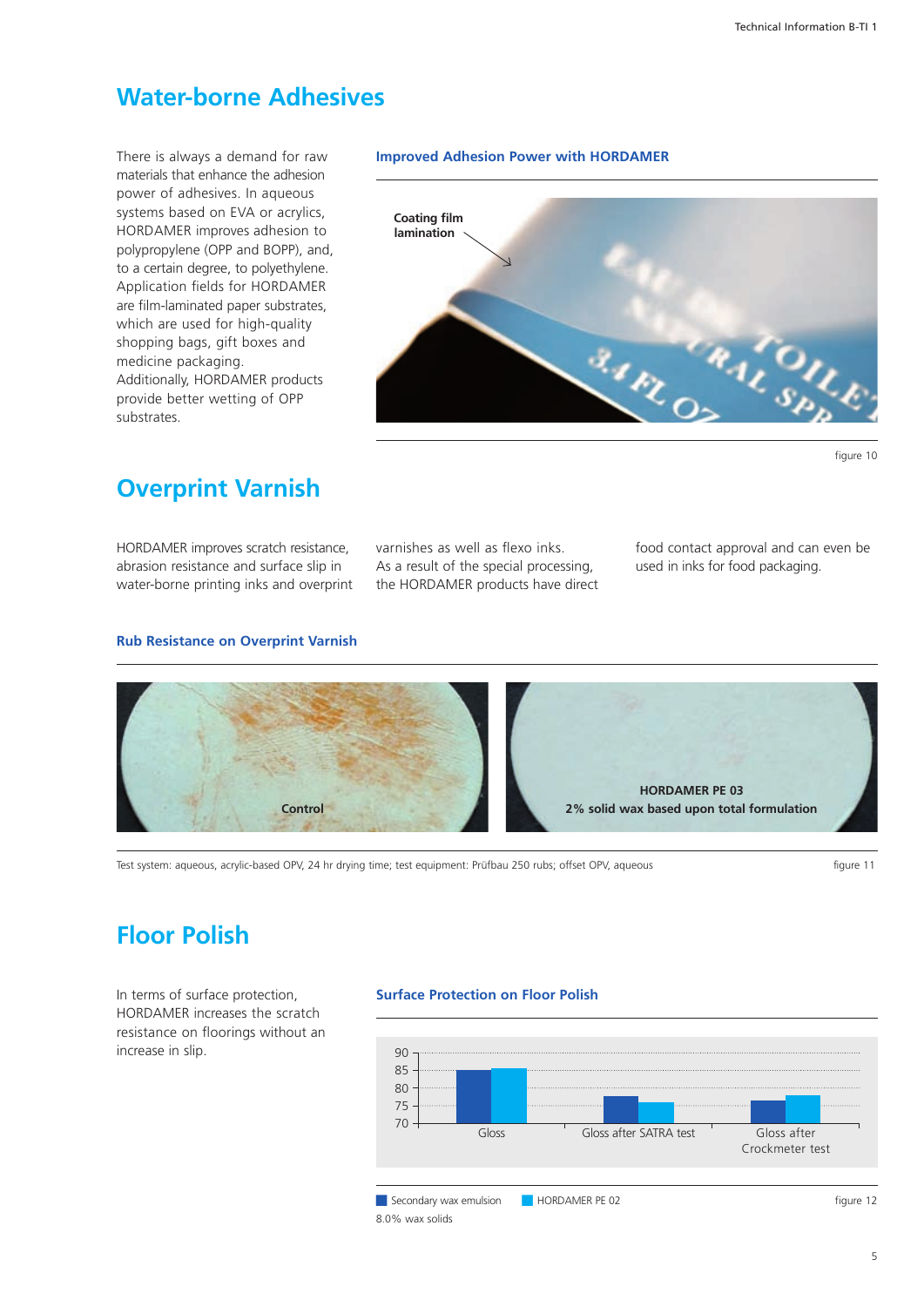### **Water-borne Adhesives**

There is always a demand for raw materials that enhance the adhesion power of adhesives. In aqueous systems based on EVA or acrylics, HORDAMER improves adhesion to polypropylene (OPP and BOPP), and, to a certain degree, to polyethylene. Application fields for HORDAMER are film-laminated paper substrates, which are used for high-quality shopping bags, gift boxes and medicine packaging. Additionally, HORDAMER products provide better wetting of OPP substrates.

### **Improved Adhesion Power with HORDAMER**



### **Overprint Varnish**

HORDAMER improves scratch resistance, abrasion resistance and surface slip in water-borne printing inks and overprint varnishes as well as flexo inks. As a result of the special processing, the HORDAMER products have direct food contact approval and can even be used in inks for food packaging.

### **Rub Resistance on Overprint Varnish**



Test system: aqueous, acrylic-based OPV, 24 hr drying time; test equipment: Prüfbau 250 rubs; offset OPV, aqueous figure 11

### **Floor Polish**

In terms of surface protection, HORDAMER increases the scratch resistance on floorings without an increase in slip.

### **Surface Protection on Floor Polish**